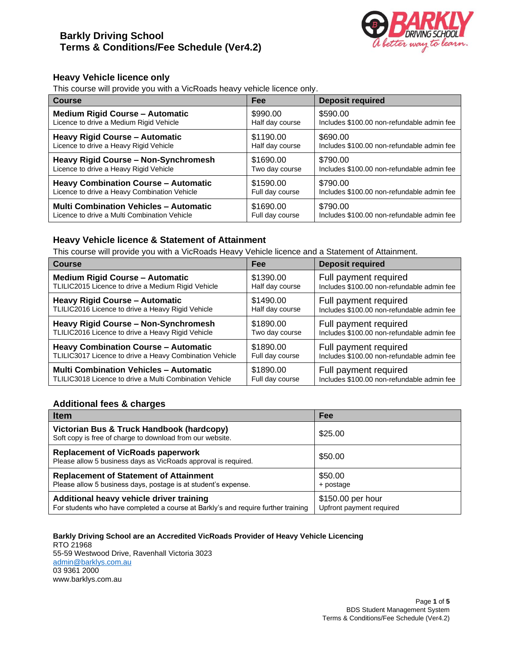

# **Heavy Vehicle licence only**

This course will provide you with a VicRoads heavy vehicle licence only.

| <b>Course</b>                                 | Fee             | <b>Deposit required</b>                    |
|-----------------------------------------------|-----------------|--------------------------------------------|
| <b>Medium Rigid Course - Automatic</b>        | \$990.00        | \$590.00                                   |
| Licence to drive a Medium Rigid Vehicle       | Half day course | Includes \$100.00 non-refundable admin fee |
| <b>Heavy Rigid Course - Automatic</b>         | \$1190.00       | \$690.00                                   |
| Licence to drive a Heavy Rigid Vehicle        | Half day course | Includes \$100.00 non-refundable admin fee |
| <b>Heavy Rigid Course - Non-Synchromesh</b>   | \$1690.00       | \$790.00                                   |
| Licence to drive a Heavy Rigid Vehicle        | Two day course  | Includes \$100.00 non-refundable admin fee |
| <b>Heavy Combination Course - Automatic</b>   | \$1590.00       | \$790.00                                   |
| Licence to drive a Heavy Combination Vehicle  | Full day course | Includes \$100.00 non-refundable admin fee |
| <b>Multi Combination Vehicles - Automatic</b> | \$1690.00       | \$790.00                                   |
| Licence to drive a Multi Combination Vehicle  | Full day course | Includes \$100.00 non-refundable admin fee |

# **Heavy Vehicle licence & Statement of Attainment**

This course will provide you with a VicRoads Heavy Vehicle licence and a Statement of Attainment.

| <b>Course</b>                                           | Fee             | <b>Deposit required</b>                    |
|---------------------------------------------------------|-----------------|--------------------------------------------|
| <b>Medium Rigid Course - Automatic</b>                  | \$1390.00       | Full payment required                      |
| TLILIC2015 Licence to drive a Medium Rigid Vehicle      | Half day course | Includes \$100.00 non-refundable admin fee |
| <b>Heavy Rigid Course - Automatic</b>                   | \$1490.00       | Full payment required                      |
| TLILIC2016 Licence to drive a Heavy Rigid Vehicle       | Half day course | Includes \$100.00 non-refundable admin fee |
| <b>Heavy Rigid Course - Non-Synchromesh</b>             | \$1890.00       | Full payment required                      |
| TLILIC2016 Licence to drive a Heavy Rigid Vehicle       | Two day course  | Includes \$100.00 non-refundable admin fee |
| <b>Heavy Combination Course - Automatic</b>             | \$1890.00       | Full payment required                      |
| TLILIC3017 Licence to drive a Heavy Combination Vehicle | Full day course | Includes \$100.00 non-refundable admin fee |
| <b>Multi Combination Vehicles - Automatic</b>           | \$1890.00       | Full payment required                      |
| TLILIC3018 Licence to drive a Multi Combination Vehicle | Full day course | Includes \$100.00 non-refundable admin fee |

# **Additional fees & charges**

| <b>Item</b>                                                                                                                   | <b>Fee</b>                                    |  |  |
|-------------------------------------------------------------------------------------------------------------------------------|-----------------------------------------------|--|--|
| Victorian Bus & Truck Handbook (hardcopy)<br>Soft copy is free of charge to download from our website.                        | \$25.00                                       |  |  |
| <b>Replacement of VicRoads paperwork</b><br>Please allow 5 business days as VicRoads approval is required.                    | \$50.00                                       |  |  |
| <b>Replacement of Statement of Attainment</b><br>Please allow 5 business days, postage is at student's expense.               | \$50.00<br>+ postage                          |  |  |
| Additional heavy vehicle driver training<br>For students who have completed a course at Barkly's and require further training | \$150.00 per hour<br>Upfront payment required |  |  |

#### **Barkly Driving School are an Accredited VicRoads Provider of Heavy Vehicle Licencing** RTO 21968 55-59 Westwood Drive, Ravenhall Victoria 3023 [admin@barklys.com.au](mailto:admin@barklys.com.au)

03 9361 2000 [www.barklys.com.au](http://www.barklys.com.au/)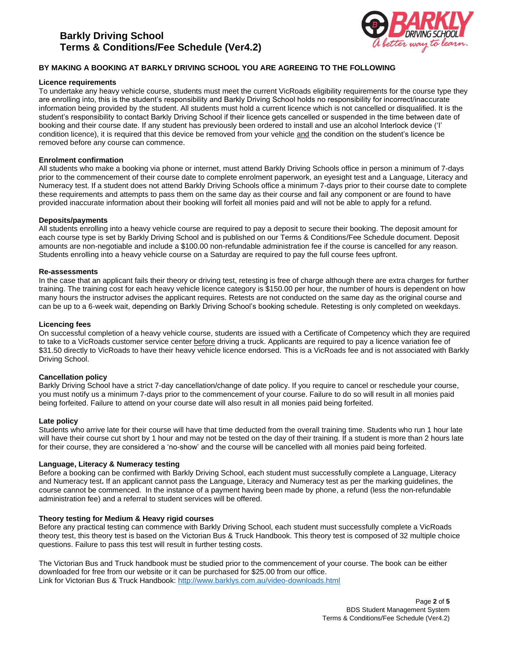# **Barkly Driving School Terms & Conditions/Fee Schedule (Ver4.2)**



# **BY MAKING A BOOKING AT BARKLY DRIVING SCHOOL YOU ARE AGREEING TO THE FOLLOWING**

# **Licence requirements**

To undertake any heavy vehicle course, students must meet the current VicRoads eligibility requirements for the course type they are enrolling into, this is the student's responsibility and Barkly Driving School holds no responsibility for incorrect/inaccurate information being provided by the student. All students must hold a current licence which is not cancelled or disqualified. It is the student's responsibility to contact Barkly Driving School if their licence gets cancelled or suspended in the time between date of booking and their course date. If any student has previously been ordered to install and use an alcohol Interlock device ('I' condition licence), it is required that this device be removed from your vehicle and the condition on the student's licence be removed before any course can commence.

# **Enrolment confirmation**

All students who make a booking via phone or internet, must attend Barkly Driving Schools office in person a minimum of 7-days prior to the commencement of their course date to complete enrolment paperwork, an eyesight test and a Language, Literacy and Numeracy test. If a student does not attend Barkly Driving Schools office a minimum 7-days prior to their course date to complete these requirements and attempts to pass them on the same day as their course and fail any component or are found to have provided inaccurate information about their booking will forfeit all monies paid and will not be able to apply for a refund.

# **Deposits/payments**

All students enrolling into a heavy vehicle course are required to pay a deposit to secure their booking. The deposit amount for each course type is set by Barkly Driving School and is published on our Terms & Conditions/Fee Schedule document. Deposit amounts are non-negotiable and include a \$100.00 non-refundable administration fee if the course is cancelled for any reason. Students enrolling into a heavy vehicle course on a Saturday are required to pay the full course fees upfront.

# **Re-assessments**

In the case that an applicant fails their theory or driving test, retesting is free of charge although there are extra charges for further training. The training cost for each heavy vehicle licence category is \$150.00 per hour, the number of hours is dependent on how many hours the instructor advises the applicant requires. Retests are not conducted on the same day as the original course and can be up to a 6-week wait, depending on Barkly Driving School's booking schedule. Retesting is only completed on weekdays.

# **Licencing fees**

On successful completion of a heavy vehicle course, students are issued with a Certificate of Competency which they are required to take to a VicRoads customer service center before driving a truck. Applicants are required to pay a licence variation fee of \$31.50 directly to VicRoads to have their heavy vehicle licence endorsed. This is a VicRoads fee and is not associated with Barkly Driving School.

# **Cancellation policy**

Barkly Driving School have a strict 7-day cancellation/change of date policy. If you require to cancel or reschedule your course, you must notify us a minimum 7-days prior to the commencement of your course. Failure to do so will result in all monies paid being forfeited. Failure to attend on your course date will also result in all monies paid being forfeited.

# **Late policy**

Students who arrive late for their course will have that time deducted from the overall training time. Students who run 1 hour late will have their course cut short by 1 hour and may not be tested on the day of their training. If a student is more than 2 hours late for their course, they are considered a 'no-show' and the course will be cancelled with all monies paid being forfeited.

# **Language, Literacy & Numeracy testing**

Before a booking can be confirmed with Barkly Driving School, each student must successfully complete a Language, Literacy and Numeracy test**.** If an applicant cannot pass the Language, Literacy and Numeracy test as per the marking guidelines, the course cannot be commenced. In the instance of a payment having been made by phone, a refund (less the non-refundable administration fee) and a referral to student services will be offered.

# **Theory testing for Medium & Heavy rigid courses**

Before any practical testing can commence with Barkly Driving School, each student must successfully complete a VicRoads theory test, this theory test is based on the Victorian Bus & Truck Handbook. This theory test is composed of 32 multiple choice questions. Failure to pass this test will result in further testing costs.

The Victorian Bus and Truck handbook must be studied prior to the commencement of your course. The book can be either downloaded for free from our website or it can be purchased for \$25.00 from our office. Link for Victorian Bus & Truck Handbook: <http://www.barklys.com.au/video-downloads.html>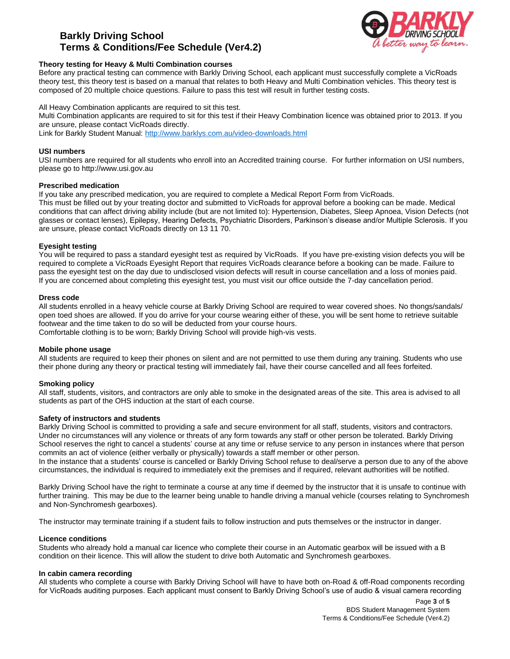# **Barkly Driving School Terms & Conditions/Fee Schedule (Ver4.2)**



# **Theory testing for Heavy & Multi Combination courses**

Before any practical testing can commence with Barkly Driving School, each applicant must successfully complete a VicRoads theory test, this theory test is based on a manual that relates to both Heavy and Multi Combination vehicles. This theory test is composed of 20 multiple choice questions. Failure to pass this test will result in further testing costs.

All Heavy Combination applicants are required to sit this test. Multi Combination applicants are required to sit for this test if their Heavy Combination licence was obtained prior to 2013. If you are unsure, please contact VicRoads directly. Link for Barkly Student Manual:<http://www.barklys.com.au/video-downloads.html>

# **USI numbers**

USI numbers are required for all students who enroll into an Accredited training course. For further information on USI numbers, please go to [http://www.usi.gov.au](http://www.usi.gov.au/)

#### **Prescribed medication**

If you take any prescribed medication, you are required to complete a Medical Report Form from VicRoads. This must be filled out by your treating doctor and submitted to VicRoads for approval before a booking can be made. Medical conditions that can affect driving ability include (but are not limited to): Hypertension, Diabetes, Sleep Apnoea, Vision Defects (not glasses or contact lenses), Epilepsy, Hearing Defects, Psychiatric Disorders, Parkinson's disease and/or Multiple Sclerosis. If you are unsure, please contact VicRoads directly on 13 11 70.

#### **Eyesight testing**

You will be required to pass a standard eyesight test as required by VicRoads. If you have pre-existing vision defects you will be required to complete a VicRoads Eyesight Report that requires VicRoads clearance before a booking can be made. Failure to pass the eyesight test on the day due to undisclosed vision defects will result in course cancellation and a loss of monies paid. If you are concerned about completing this eyesight test, you must visit our office outside the 7-day cancellation period.

#### **Dress code**

All students enrolled in a heavy vehicle course at Barkly Driving School are required to wear covered shoes. No thongs/sandals/ open toed shoes are allowed. If you do arrive for your course wearing either of these, you will be sent home to retrieve suitable footwear and the time taken to do so will be deducted from your course hours. Comfortable clothing is to be worn; Barkly Driving School will provide high-vis vests.

#### **Mobile phone usage**

All students are required to keep their phones on silent and are not permitted to use them during any training. Students who use their phone during any theory or practical testing will immediately fail, have their course cancelled and all fees forfeited.

# **Smoking policy**

All staff, students, visitors, and contractors are only able to smoke in the designated areas of the site. This area is advised to all students as part of the OHS induction at the start of each course.

#### **Safety of instructors and students**

Barkly Driving School is committed to providing a safe and secure environment for all staff, students, visitors and contractors. Under no circumstances will any violence or threats of any form towards any staff or other person be tolerated. Barkly Driving School reserves the right to cancel a students' course at any time or refuse service to any person in instances where that person commits an act of violence (either verbally or physically) towards a staff member or other person.

In the instance that a students' course is cancelled or Barkly Driving School refuse to deal/serve a person due to any of the above circumstances, the individual is required to immediately exit the premises and if required, relevant authorities will be notified.

Barkly Driving School have the right to terminate a course at any time if deemed by the instructor that it is unsafe to continue with further training. This may be due to the learner being unable to handle driving a manual vehicle (courses relating to Synchromesh and Non-Synchromesh gearboxes).

The instructor may terminate training if a student fails to follow instruction and puts themselves or the instructor in danger.

#### **Licence conditions**

Students who already hold a manual car licence who complete their course in an Automatic gearbox will be issued with a B condition on their licence. This will allow the student to drive both Automatic and Synchromesh gearboxes.

#### **In cabin camera recording**

All students who complete a course with Barkly Driving School will have to have both on-Road & off-Road components recording for VicRoads auditing purposes. Each applicant must consent to Barkly Driving School's use of audio & visual camera recording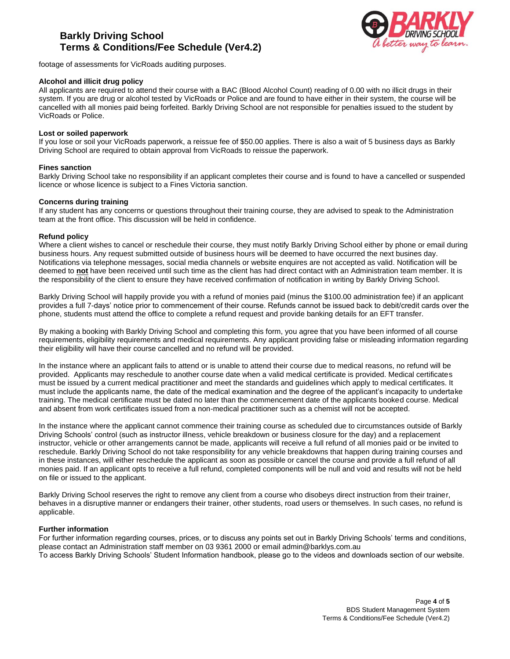# **Barkly Driving School Terms & Conditions/Fee Schedule (Ver4.2)**



footage of assessments for VicRoads auditing purposes.

# **Alcohol and illicit drug policy**

All applicants are required to attend their course with a BAC (Blood Alcohol Count) reading of 0.00 with no illicit drugs in their system. If you are drug or alcohol tested by VicRoads or Police and are found to have either in their system, the course will be cancelled with all monies paid being forfeited. Barkly Driving School are not responsible for penalties issued to the student by VicRoads or Police.

#### **Lost or soiled paperwork**

If you lose or soil your VicRoads paperwork, a reissue fee of \$50.00 applies. There is also a wait of 5 business days as Barkly Driving School are required to obtain approval from VicRoads to reissue the paperwork.

#### **Fines sanction**

Barkly Driving School take no responsibility if an applicant completes their course and is found to have a cancelled or suspended licence or whose licence is subject to a Fines Victoria sanction.

#### **Concerns during training**

If any student has any concerns or questions throughout their training course, they are advised to speak to the Administration team at the front office. This discussion will be held in confidence.

#### **Refund policy**

Where a client wishes to cancel or reschedule their course, they must notify Barkly Driving School either by phone or email during business hours. Any request submitted outside of business hours will be deemed to have occurred the next busines day. Notifications via telephone messages, social media channels or website enquires are not accepted as valid. Notification will be deemed to **not** have been received until such time as the client has had direct contact with an Administration team member. It is the responsibility of the client to ensure they have received confirmation of notification in writing by Barkly Driving School.

Barkly Driving School will happily provide you with a refund of monies paid (minus the \$100.00 administration fee) if an applicant provides a full 7-days' notice prior to commencement of their course. Refunds cannot be issued back to debit/credit cards over the phone, students must attend the office to complete a refund request and provide banking details for an EFT transfer.

By making a booking with Barkly Driving School and completing this form, you agree that you have been informed of all course requirements, eligibility requirements and medical requirements. Any applicant providing false or misleading information regarding their eligibility will have their course cancelled and no refund will be provided.

In the instance where an applicant fails to attend or is unable to attend their course due to medical reasons, no refund will be provided. Applicants may reschedule to another course date when a valid medical certificate is provided. Medical certificates must be issued by a current medical practitioner and meet the standards and guidelines which apply to medical certificates. It must include the applicants name, the date of the medical examination and the degree of the applicant's incapacity to undertake training. The medical certificate must be dated no later than the commencement date of the applicants booked course. Medical and absent from work certificates issued from a non-medical practitioner such as a chemist will not be accepted.

In the instance where the applicant cannot commence their training course as scheduled due to circumstances outside of Barkly Driving Schools' control (such as instructor illness, vehicle breakdown or business closure for the day) and a replacement instructor, vehicle or other arrangements cannot be made, applicants will receive a full refund of all monies paid or be invited to reschedule. Barkly Driving School do not take responsibility for any vehicle breakdowns that happen during training courses and in these instances, will either reschedule the applicant as soon as possible or cancel the course and provide a full refund of all monies paid. If an applicant opts to receive a full refund, completed components will be null and void and results will not be held on file or issued to the applicant.

Barkly Driving School reserves the right to remove any client from a course who disobeys direct instruction from their trainer, behaves in a disruptive manner or endangers their trainer, other students, road users or themselves. In such cases, no refund is applicable.

# **Further information**

For further information regarding courses, prices, or to discuss any points set out in Barkly Driving Schools' terms and conditions, please contact an Administration staff member on 03 9361 2000 or email [admin@barklys.com.au](mailto:admin@barklys.com.au) To access Barkly Driving Schools' Student Information handbook, please go to the videos and downloads section of our website.